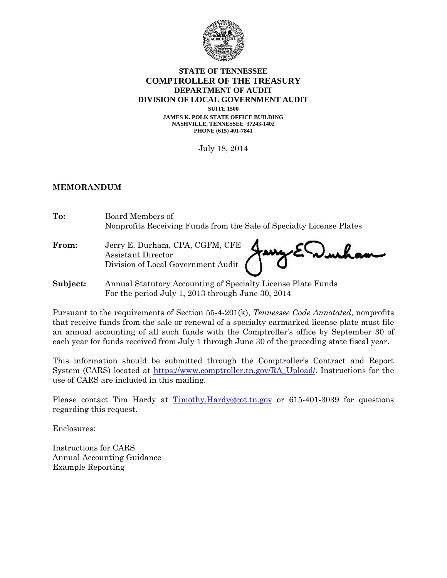

#### **STATE OF TENNESSEE COMPTROLLER OF THE TREASURY DEPARTMENT OF AUDIT DIVISION OF LOCAL GOVERNMENT AUDIT**

**SUITE 1500 JAMES K. POLK STATE OFFICE BUILDING NASHVILLE, TENNESSEE 37243-1402 PHONE (615) 401-7841** 

July 18, 2014

#### **MEMORANDUM**

| To:      | Board Members of<br>Nonprofits Receiving Funds from the Sale of Specialty License Plates |  |  |
|----------|------------------------------------------------------------------------------------------|--|--|
| From:    | Jerry E. Durham, CPA, CGFM, CFE Jany E Wurkam<br>Division of Local Government Audit      |  |  |
| Subject: | Annual Statutory Accounting of Specialty License Plate Funds                             |  |  |
|          | For the period July 1, 2013 through June 30, 2014                                        |  |  |

Pursuant to the requirements of Section 55-4-201(k), *Tennessee Code Annotated*, nonprofits that receive funds from the sale or renewal of a specialty earmarked license plate must file an annual accounting of all such funds with the Comptroller's office by September 30 of each year for funds received from July 1 through June 30 of the preceding state fiscal year.

This information should be submitted through the Comptroller's Contract and Report System (CARS) located at https://www.comptroller.tn.gov/RA\_Upload/. Instructions for the use of CARS are included in this mailing.

Please contact Tim Hardy at Timothy.Hardy@cot.tn.gov or 615-401-3039 for questions regarding this request.

Enclosures:

Instructions for CARS Annual Accounting Guidance Example Reporting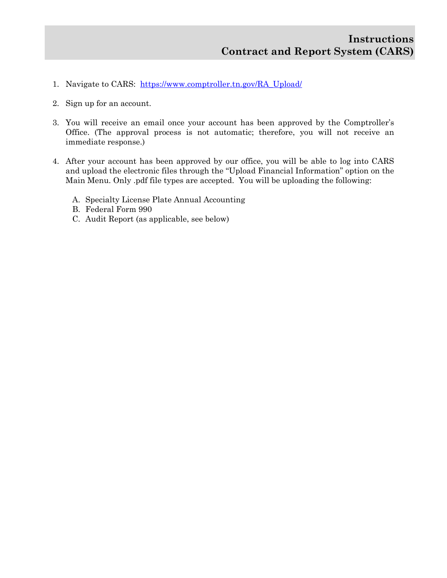- 1. Navigate to CARS: https://www.comptroller.tn.gov/RA\_Upload/
- 2. Sign up for an account.
- 3. You will receive an email once your account has been approved by the Comptroller's Office. (The approval process is not automatic; therefore, you will not receive an immediate response.)
- 4. After your account has been approved by our office, you will be able to log into CARS and upload the electronic files through the "Upload Financial Information" option on the Main Menu. Only .pdf file types are accepted. You will be uploading the following:
	- A. Specialty License Plate Annual Accounting
	- B. Federal Form 990
	- C. Audit Report (as applicable, see below)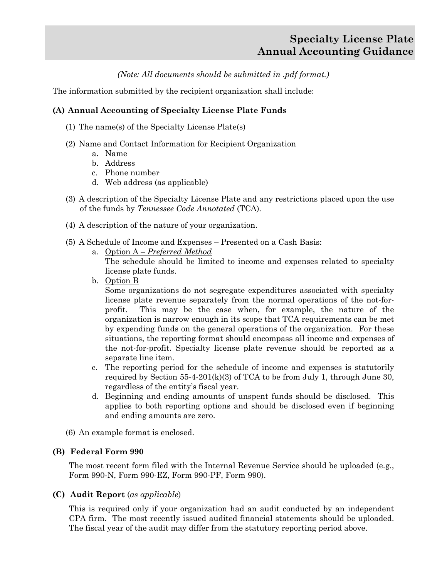# **Specialty License Plate Annual Accounting Guidance**

*(Note: All documents should be submitted in .pdf format.)* 

The information submitted by the recipient organization shall include:

# **(A) Annual Accounting of Specialty License Plate Funds**

- (1) The name(s) of the Specialty License Plate(s)
- (2) Name and Contact Information for Recipient Organization
	- a. Name
	- b. Address
	- c. Phone number
	- d. Web address (as applicable)
- (3) A description of the Specialty License Plate and any restrictions placed upon the use of the funds by *Tennessee Code Annotated* (TCA)*.*
- (4) A description of the nature of your organization.
- (5) A Schedule of Income and Expenses Presented on a Cash Basis:
	- a. Option A *Preferred Method*

The schedule should be limited to income and expenses related to specialty license plate funds.

b. Option B

Some organizations do not segregate expenditures associated with specialty license plate revenue separately from the normal operations of the not-forprofit. This may be the case when, for example, the nature of the organization is narrow enough in its scope that TCA requirements can be met by expending funds on the general operations of the organization. For these situations, the reporting format should encompass all income and expenses of the not-for-profit. Specialty license plate revenue should be reported as a separate line item.

- c. The reporting period for the schedule of income and expenses is statutorily required by Section 55-4-201(k)(3) of TCA to be from July 1, through June 30, regardless of the entity's fiscal year.
- d. Beginning and ending amounts of unspent funds should be disclosed. This applies to both reporting options and should be disclosed even if beginning and ending amounts are zero.
- (6) An example format is enclosed.

# **(B) Federal Form 990**

The most recent form filed with the Internal Revenue Service should be uploaded (e.g., Form 990-N, Form 990-EZ, Form 990-PF, Form 990).

# **(C) Audit Report** (*as applicable*)

This is required only if your organization had an audit conducted by an independent CPA firm. The most recently issued audited financial statements should be uploaded. The fiscal year of the audit may differ from the statutory reporting period above.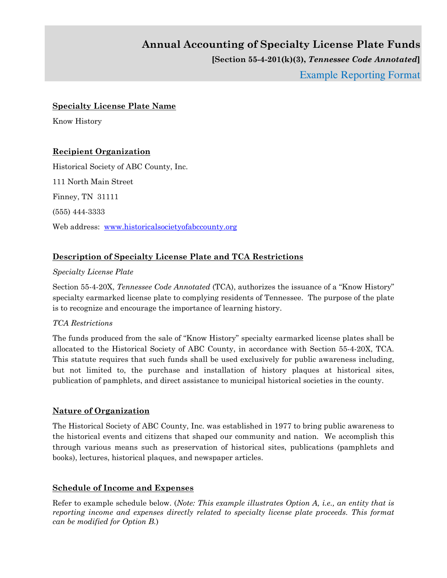# **Annual Accounting of Specialty License Plate Funds [Section 55-4-201(k)(3),** *Tennessee Code Annotated***]**  Example Reporting Format

#### **Specialty License Plate Name**

Know History

#### **Recipient Organization**

Historical Society of ABC County, Inc. 111 North Main Street Finney, TN 31111 (555) 444-3333 Web address: www.historicalsocietyofabccounty.org

# **Description of Specialty License Plate and TCA Restrictions**

#### *Specialty License Plate*

Section 55-4-20X, *Tennessee Code Annotated* (TCA), authorizes the issuance of a "Know History" specialty earmarked license plate to complying residents of Tennessee. The purpose of the plate is to recognize and encourage the importance of learning history.

#### *TCA Restrictions*

The funds produced from the sale of "Know History" specialty earmarked license plates shall be allocated to the Historical Society of ABC County, in accordance with Section 55-4-20X, TCA. This statute requires that such funds shall be used exclusively for public awareness including, but not limited to, the purchase and installation of history plaques at historical sites, publication of pamphlets, and direct assistance to municipal historical societies in the county.

#### **Nature of Organization**

The Historical Society of ABC County, Inc. was established in 1977 to bring public awareness to the historical events and citizens that shaped our community and nation. We accomplish this through various means such as preservation of historical sites, publications (pamphlets and books), lectures, historical plaques, and newspaper articles.

#### **Schedule of Income and Expenses**

Refer to example schedule below. (*Note: This example illustrates Option A, i.e., an entity that is reporting income and expenses directly related to specialty license plate proceeds. This format can be modified for Option B.*)